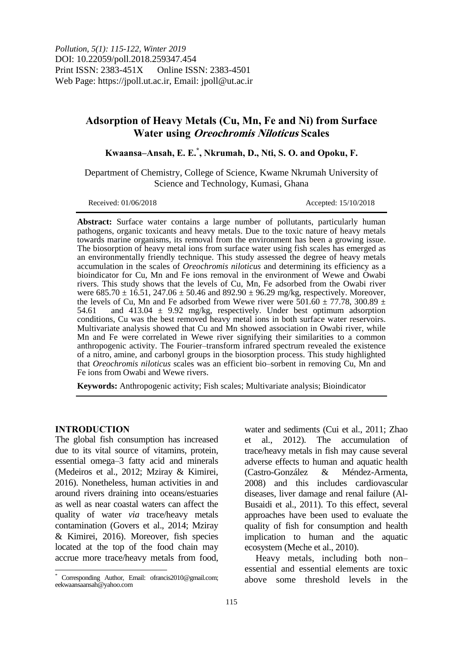# **Adsorption of Heavy Metals (Cu, Mn, Fe and Ni) from Surface Water using Oreochromis Niloticus Scales**

**Kwaansa–Ansah, E. E.\* , Nkrumah, D., Nti, S. O. and Opoku, F.**

Department of Chemistry, College of Science, Kwame Nkrumah University of Science and Technology, Kumasi, Ghana

Received: 01/06/2018 Accepted: 15/10/2018

**Abstract:** Surface water contains a large number of pollutants, particularly human pathogens, organic toxicants and heavy metals. Due to the toxic nature of heavy metals towards marine organisms, its removal from the environment has been a growing issue. The biosorption of heavy metal ions from surface water using fish scales has emerged as an environmentally friendly technique. This study assessed the degree of heavy metals accumulation in the scales of *Oreochromis niloticus* and determining its efficiency as a bioindicator for Cu, Mn and Fe ions removal in the environment of Wewe and Owabi rivers. This study shows that the levels of Cu, Mn, Fe adsorbed from the Owabi river were  $685.70 \pm 16.51$ ,  $247.06 \pm 50.46$  and  $892.90 \pm 96.29$  mg/kg, respectively. Moreover, the levels of Cu, Mn and Fe adsorbed from Wewe river were  $501.60 \pm 77.78$ , 300.89  $\pm$ 54.61 and 413.04  $\pm$  9.92 mg/kg, respectively. Under best optimum adsorption conditions, Cu was the best removed heavy metal ions in both surface water reservoirs. Multivariate analysis showed that Cu and Mn showed association in Owabi river, while Mn and Fe were correlated in Wewe river signifying their similarities to a common anthropogenic activity. The Fourier–transform infrared spectrum revealed the existence of a nitro, amine, and carbonyl groups in the biosorption process. This study highlighted that *Oreochromis niloticus* scales was an efficient bio–sorbent in removing Cu, Mn and Fe ions from Owabi and Wewe rivers.

**Keywords:** Anthropogenic activity; Fish scales; Multivariate analysis; Bioindicator

#### **INTRODUCTION**

 $\overline{\phantom{a}}$ 

The global fish consumption has increased due to its vital source of vitamins, protein, essential omega–3 fatty acid and minerals (Medeiros et al., 2012; Mziray & Kimirei, 2016). Nonetheless, human activities in and around rivers draining into oceans/estuaries as well as near coastal waters can affect the quality of water *via* trace/heavy metals contamination (Govers et al., 2014; Mziray & Kimirei, 2016). Moreover, fish species located at the top of the food chain may accrue more trace/heavy metals from food,

water and sediments (Cui et al., 2011; Zhao et al., 2012). The accumulation of trace/heavy metals in fish may cause several adverse effects to human and aquatic health (Castro-González & Méndez-Armenta, 2008) and this includes cardiovascular diseases, liver damage and renal failure (Al-Busaidi et al., 2011). To this effect, several approaches have been used to evaluate the quality of fish for consumption and health implication to human and the aquatic ecosystem (Meche et al., 2010).

Heavy metals, including both non– essential and essential elements are toxic above some threshold levels in the

Corresponding Author, Email: ofrancis2010@gmail.com; eekwaansaansah@yahoo.com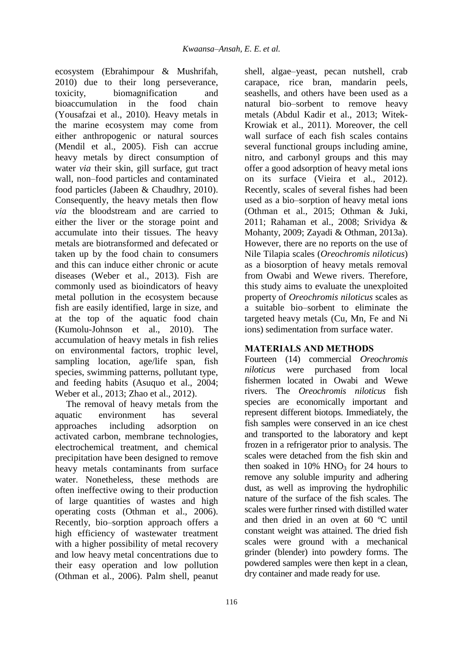ecosystem (Ebrahimpour & Mushrifah, 2010) due to their long perseverance, toxicity, biomagnification and bioaccumulation in the food chain (Yousafzai et al., 2010). Heavy metals in the marine ecosystem may come from either anthropogenic or natural sources (Mendil et al., 2005). Fish can accrue heavy metals by direct consumption of water *via* their skin, gill surface, gut tract wall, non–food particles and contaminated food particles (Jabeen & Chaudhry, 2010). Consequently, the heavy metals then flow *via* the bloodstream and are carried to either the liver or the storage point and accumulate into their tissues. The heavy metals are biotransformed and defecated or taken up by the food chain to consumers and this can induce either chronic or acute diseases (Weber et al., 2013). Fish are commonly used as bioindicators of heavy metal pollution in the ecosystem because fish are easily identified, large in size, and at the top of the aquatic food chain (Kumolu-Johnson et al., 2010). The accumulation of heavy metals in fish relies on environmental factors, trophic level, sampling location, age/life span, fish species, swimming patterns, pollutant type, and feeding habits (Asuquo et al., 2004; Weber et al., 2013; Zhao et al., 2012).

The removal of heavy metals from the aquatic environment has several approaches including adsorption on activated carbon, membrane technologies, electrochemical treatment, and chemical precipitation have been designed to remove heavy metals contaminants from surface water. Nonetheless, these methods are often ineffective owing to their production of large quantities of wastes and high operating costs (Othman et al., 2006). Recently, bio–sorption approach offers a high efficiency of wastewater treatment with a higher possibility of metal recovery and low heavy metal concentrations due to their easy operation and low pollution (Othman et al., 2006). Palm shell, peanut

shell, algae–yeast, pecan nutshell, crab carapace, rice bran, mandarin peels, seashells, and others have been used as a natural bio–sorbent to remove heavy metals (Abdul Kadir et al., 2013; Witek-Krowiak et al., 2011). Moreover, the cell wall surface of each fish scales contains several functional groups including amine, nitro, and carbonyl groups and this may offer a good adsorption of heavy metal ions on its surface (Vieira et al., 2012). Recently, scales of several fishes had been used as a bio–sorption of heavy metal ions (Othman et al., 2015; Othman & Juki, 2011; Rahaman et al., 2008; Srividya & Mohanty, 2009; Zayadi & Othman, 2013a). However, there are no reports on the use of Nile Tilapia scales (*Oreochromis niloticus*) as a biosorption of heavy metals removal from Owabi and Wewe rivers. Therefore, this study aims to evaluate the unexploited property of *Oreochromis niloticus* scales as a suitable bio–sorbent to eliminate the targeted heavy metals (Cu, Mn, Fe and Ni ions) sedimentation from surface water.

# **MATERIALS AND METHODS**

Fourteen (14) commercial *Oreochromis niloticus* were purchased from local fishermen located in Owabi and Wewe rivers. The *Oreochromis niloticus* fish species are economically important and represent different biotops. Immediately, the fish samples were conserved in an ice chest and transported to the laboratory and kept frozen in a refrigerator prior to analysis. The scales were detached from the fish skin and then soaked in  $10\%$  HNO<sub>3</sub> for 24 hours to remove any soluble impurity and adhering dust, as well as improving the hydrophilic nature of the surface of the fish scales. The scales were further rinsed with distilled water and then dried in an oven at 60 ºC until constant weight was attained. The dried fish scales were ground with a mechanical grinder (blender) into powdery forms. The powdered samples were then kept in a clean, dry container and made ready for use.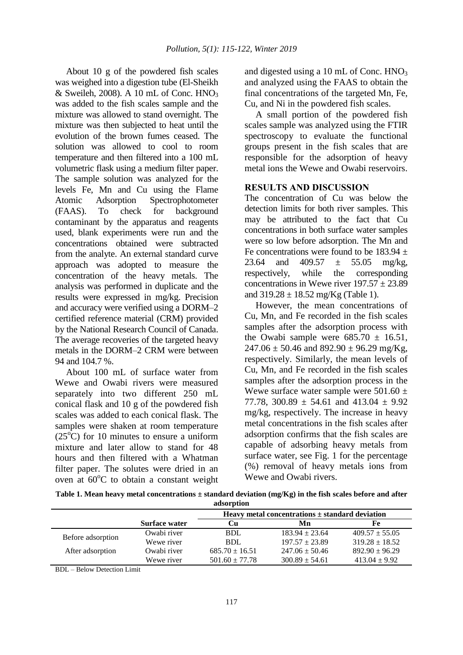About 10 g of the powdered fish scales was weighed into a digestion tube (El-Sheikh & Sweileh, 2008). A 10 mL of Conc.  $HNO<sub>3</sub>$ was added to the fish scales sample and the mixture was allowed to stand overnight. The mixture was then subjected to heat until the evolution of the brown fumes ceased. The solution was allowed to cool to room temperature and then filtered into a 100 mL volumetric flask using a medium filter paper. The sample solution was analyzed for the levels Fe, Mn and Cu using the Flame Atomic Adsorption Spectrophotometer (FAAS). To check for background contaminant by the apparatus and reagents used, blank experiments were run and the concentrations obtained were subtracted from the analyte. An external standard curve approach was adopted to measure the concentration of the heavy metals. The analysis was performed in duplicate and the results were expressed in mg/kg. Precision and accuracy were verified using a DORM–2 certified reference material (CRM) provided by the National Research Council of Canada. The average recoveries of the targeted heavy metals in the DORM–2 CRM were between 94 and 104.7 %.

About 100 mL of surface water from Wewe and Owabi rivers were measured separately into two different 250 mL conical flask and 10 g of the powdered fish scales was added to each conical flask. The samples were shaken at room temperature  $(25^{\circ}$ C) for 10 minutes to ensure a uniform mixture and later allow to stand for 48 hours and then filtered with a Whatman filter paper. The solutes were dried in an oven at  $60^{\circ}$ C to obtain a constant weight and digested using a 10 mL of Conc. HNO<sub>3</sub> and analyzed using the FAAS to obtain the final concentrations of the targeted Mn, Fe, Cu, and Ni in the powdered fish scales.

A small portion of the powdered fish scales sample was analyzed using the FTIR spectroscopy to evaluate the functional groups present in the fish scales that are responsible for the adsorption of heavy metal ions the Wewe and Owabi reservoirs.

## **RESULTS AND DISCUSSION**

The concentration of Cu was below the detection limits for both river samples. This may be attributed to the fact that Cu concentrations in both surface water samples were so low before adsorption. The Mn and Fe concentrations were found to be  $183.94 \pm$ 23.64 and  $409.57 \pm 55.05$  mg/kg, respectively, while the corresponding concentrations in Wewe river  $197.57 \pm 23.89$ and  $319.28 \pm 18.52$  mg/Kg (Table 1).

However, the mean concentrations of Cu, Mn, and Fe recorded in the fish scales samples after the adsorption process with the Owabi sample were  $685.70 \pm 16.51$ ,  $247.06 \pm 50.46$  and  $892.90 \pm 96.29$  mg/Kg, respectively. Similarly, the mean levels of Cu, Mn, and Fe recorded in the fish scales samples after the adsorption process in the Wewe surface water sample were  $501.60 \pm$ 77.78, 300.89  $\pm$  54.61 and 413.04  $\pm$  9.92 mg/kg, respectively. The increase in heavy metal concentrations in the fish scales after adsorption confirms that the fish scales are capable of adsorbing heavy metals from surface water, see Fig. 1 for the percentage (%) removal of heavy metals ions from Wewe and Owabi rivers.

| Table 1. Mean heavy metal concentrations $\pm$ standard deviation (mg/Kg) in the fish scales before and after |
|---------------------------------------------------------------------------------------------------------------|
| adsorption                                                                                                    |

|                   |                      | Heavy metal concentrations $\pm$ standard deviation |                    |                    |  |
|-------------------|----------------------|-----------------------------------------------------|--------------------|--------------------|--|
|                   | <b>Surface water</b> | Cu                                                  | Mn                 | Fe                 |  |
|                   | Owabi river          | <b>BDL</b>                                          | $183.94 \pm 23.64$ | $409.57 \pm 55.05$ |  |
| Before adsorption | Wewe river           | <b>BDL</b>                                          | $197.57 \pm 23.89$ | $319.28 \pm 18.52$ |  |
| After adsorption  | Owabi river          | $685.70 \pm 16.51$                                  | $247.06 \pm 50.46$ | $892.90 \pm 96.29$ |  |
|                   | Wewe river           | $501.60 \pm 77.78$                                  | $300.89 \pm 54.61$ | $413.04 \pm 9.92$  |  |

BDL – Below Detection Limit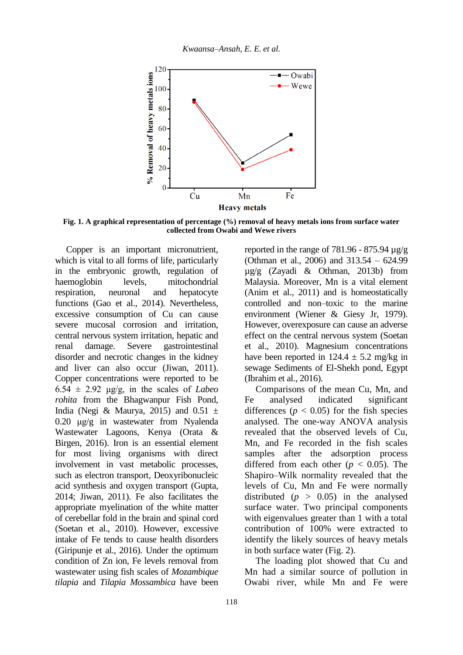

**Fig. 1. A graphical representation of percentage (%) removal of heavy metals ions from surface water collected from Owabi and Wewe rivers**

Copper is an important micronutrient, which is vital to all forms of life, particularly in the embryonic growth, regulation of haemoglobin levels, mitochondrial respiration, neuronal and hepatocyte functions (Gao et al., 2014). Nevertheless, excessive consumption of Cu can cause severe mucosal corrosion and irritation, central nervous system irritation, hepatic and renal damage. Severe gastrointestinal disorder and necrotic changes in the kidney and liver can also occur (Jiwan, 2011). Copper concentrations were reported to be  $6.54 \pm 2.92$  μg/g, in the scales of *Labeo rohita* from the Bhagwanpur Fish Pond, India (Negi & Maurya, 2015) and  $0.51 \pm$ 0.20 μg/g in wastewater from Nyalenda Wastewater Lagoons, Kenya (Orata & Birgen, 2016). Iron is an essential element for most living organisms with direct involvement in vast metabolic processes, such as electron transport, Deoxyribonucleic acid synthesis and oxygen transport (Gupta, 2014; Jiwan, 2011). Fe also facilitates the appropriate myelination of the white matter of cerebellar fold in the brain and spinal cord (Soetan et al., 2010). However, excessive intake of Fe tends to cause health disorders (Giripunje et al., 2016). Under the optimum condition of Zn ion, Fe levels removal from wastewater using fish scales of *Mozambique tilapia* and *Tilapia Mossambica* have been

reported in the range of 781.96 - 875.94  $\mu$ g/g (Othman et al., 2006) and 313.54 – 624.99 µg/g (Zayadi & Othman, 2013b) from Malaysia. Moreover, Mn is a vital element (Anim et al., 2011) and is homeostatically controlled and non–toxic to the marine environment (Wiener & Giesy Jr, 1979). However, overexposure can cause an adverse effect on the central nervous system (Soetan et al., 2010). Magnesium concentrations have been reported in  $124.4 \pm 5.2$  mg/kg in sewage Sediments of El-Shekh pond, Egypt (Ibrahim et al., 2016).

Comparisons of the mean Cu, Mn, and Fe analysed indicated significant differences ( $p < 0.05$ ) for the fish species analysed. The one-way ANOVA analysis revealed that the observed levels of Cu, Mn, and Fe recorded in the fish scales samples after the adsorption process differed from each other  $(p < 0.05)$ . The Shapiro–Wilk normality revealed that the levels of Cu, Mn and Fe were normally distributed  $(p > 0.05)$  in the analysed surface water. Two principal components with eigenvalues greater than 1 with a total contribution of 100% were extracted to identify the likely sources of heavy metals in both surface water (Fig. 2).

The loading plot showed that Cu and Mn had a similar source of pollution in Owabi river, while Mn and Fe were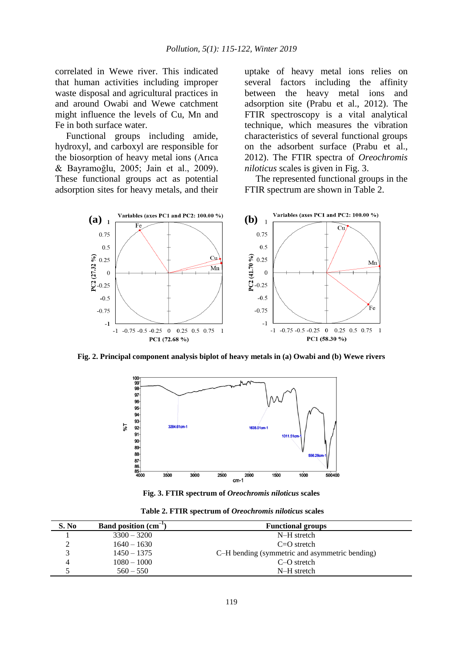correlated in Wewe river. This indicated that human activities including improper waste disposal and agricultural practices in and around Owabi and Wewe catchment might influence the levels of Cu, Mn and Fe in both surface water.

Functional groups including amide, hydroxyl, and carboxyl are responsible for the biosorption of heavy metal ions (Arıca & Bayramoğlu, 2005; Jain et al., 2009). These functional groups act as potential adsorption sites for heavy metals, and their uptake of heavy metal ions relies on several factors including the affinity between the heavy metal ions and adsorption site (Prabu et al., 2012). The FTIR spectroscopy is a vital analytical technique, which measures the vibration characteristics of several functional groups on the adsorbent surface (Prabu et al., 2012). The FTIR spectra of *Oreochromis niloticus* scales is given in Fig. 3.

The represented functional groups in the FTIR spectrum are shown in Table 2.



**Fig. 2. Principal component analysis biplot of heavy metals in (a) Owabi and (b) Wewe rivers**



**Fig. 3. FTIR spectrum of** *Oreochromis niloticus* **scales**

|  |  |  | Table 2. FTIR spectrum of Oreochromis niloticus scales |  |  |  |  |  |  |
|--|--|--|--------------------------------------------------------|--|--|--|--|--|--|
|--|--|--|--------------------------------------------------------|--|--|--|--|--|--|

| S. No | Band position $(cm-1)$ | <b>Functional groups</b>                       |
|-------|------------------------|------------------------------------------------|
|       | $3300 - 3200$          | N-H stretch                                    |
|       | $1640 - 1630$          | $C=O$ stretch                                  |
|       | $1450 - 1375$          | C-H bending (symmetric and asymmetric bending) |
|       | $1080 - 1000$          | $C-O$ stretch                                  |
|       | $560 - 550$            | N-H stretch                                    |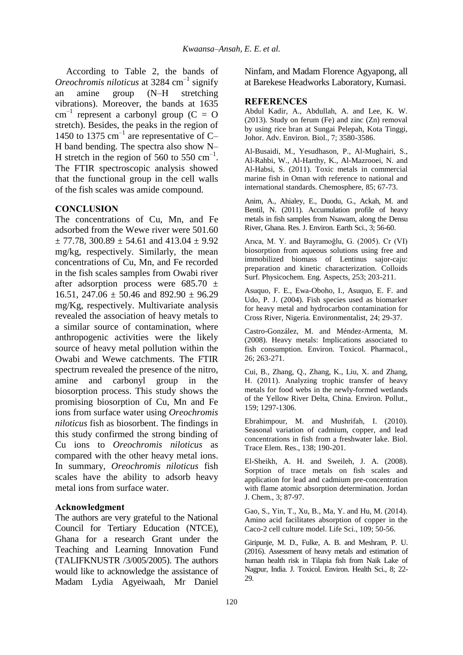According to Table 2, the bands of *Oreochromis niloticus* at 3284 cm–1 signify an amine group (N–H stretching vibrations). Moreover, the bands at 1635  $cm^{-1}$  represent a carbonyl group (C = O stretch). Besides, the peaks in the region of 1450 to 1375  $cm^{-1}$  are representative of C-H band bending. The spectra also show N– H stretch in the region of 560 to 550  $\text{cm}^{-1}$ . The FTIR spectroscopic analysis showed that the functional group in the cell walls of the fish scales was amide compound.

## **CONCLUSION**

The concentrations of Cu, Mn, and Fe adsorbed from the Wewe river were 501.60  $\pm$  77.78, 300.89  $\pm$  54.61 and 413.04  $\pm$  9.92 mg/kg, respectively. Similarly, the mean concentrations of Cu, Mn, and Fe recorded in the fish scales samples from Owabi river after adsorption process were  $685.70 \pm$ 16.51, 247.06  $\pm$  50.46 and 892.90  $\pm$  96.29 mg/Kg, respectively. Multivariate analysis revealed the association of heavy metals to a similar source of contamination, where anthropogenic activities were the likely source of heavy metal pollution within the Owabi and Wewe catchments. The FTIR spectrum revealed the presence of the nitro, amine and carbonyl group in the biosorption process. This study shows the promising biosorption of Cu, Mn and Fe ions from surface water using *Oreochromis niloticus* fish as biosorbent. The findings in this study confirmed the strong binding of Cu ions to *Oreochromis niloticus* as compared with the other heavy metal ions. In summary, *Oreochromis niloticus* fish scales have the ability to adsorb heavy metal ions from surface water.

## **Acknowledgment**

The authors are very grateful to the National Council for Tertiary Education (NTCE), Ghana for a research Grant under the Teaching and Learning Innovation Fund (TALIFKNUSTR /3/005/2005). The authors would like to acknowledge the assistance of Madam Lydia Agyeiwaah, Mr Daniel

Ninfam, and Madam Florence Agyapong, all at Barekese Headworks Laboratory, Kumasi.

#### **REFERENCES**

Abdul Kadir, A., Abdullah, A. and Lee, K. W. (2013). Study on ferum (Fe) and zinc (Zn) removal by using rice bran at Sungai Pelepah, Kota Tinggi, Johor. Adv. Environ. Biol., 7; 3580-3586.

Al-Busaidi, M., Yesudhason, P., Al-Mughairi, S., Al-Rahbi, W., Al-Harthy, K., Al-Mazrooei, N. and Al-Habsi, S. (2011). Toxic metals in commercial marine fish in Oman with reference to national and international standards. Chemosphere, 85; 67-73.

Anim, A., Ahialey, E., Duodu, G., Ackah, M. and Bentil, N. (2011). Accumulation profile of heavy metals in fish samples from Nsawam, along the Densu River, Ghana. Res. J. Environ. Earth Sci., 3; 56-60.

Arıca, M. Y. and Bayramoğlu, G. (2005). Cr (VI) biosorption from aqueous solutions using free and immobilized biomass of Lentinus sajor-caju: preparation and kinetic characterization. Colloids Surf. Physicochem. Eng. Aspects, 253; 203-211.

Asuquo, F. E., Ewa-Oboho, I., Asuquo, E. F. and Udo, P. J. (2004). Fish species used as biomarker for heavy metal and hydrocarbon contamination for Cross River, Nigeria. Environmentalist, 24; 29-37.

Castro-González, M. and Méndez-Armenta, M. (2008). Heavy metals: Implications associated to fish consumption. Environ. Toxicol. Pharmacol., 26; 263-271.

Cui, B., Zhang, Q., Zhang, K., Liu, X. and Zhang, H. (2011). Analyzing trophic transfer of heavy metals for food webs in the newly-formed wetlands of the Yellow River Delta, China. Environ. Pollut., 159; 1297-1306.

Ebrahimpour, M. and Mushrifah, I. (2010). Seasonal variation of cadmium, copper, and lead concentrations in fish from a freshwater lake. Biol. Trace Elem. Res., 138; 190-201.

El-Sheikh, A. H. and Sweileh, J. A. (2008). Sorption of trace metals on fish scales and application for lead and cadmium pre-concentration with flame atomic absorption determination. Jordan J. Chem., 3; 87-97.

Gao, S., Yin, T., Xu, B., Ma, Y. and Hu, M. (2014). Amino acid facilitates absorption of copper in the Caco-2 cell culture model. Life Sci., 109; 50-56.

Giripunje, M. D., Fulke, A. B. and Meshram, P. U. (2016). Assessment of heavy metals and estimation of human health risk in Tilapia fish from Naik Lake of Nagpur, India. J. Toxicol. Environ. Health Sci., 8; 22- 29.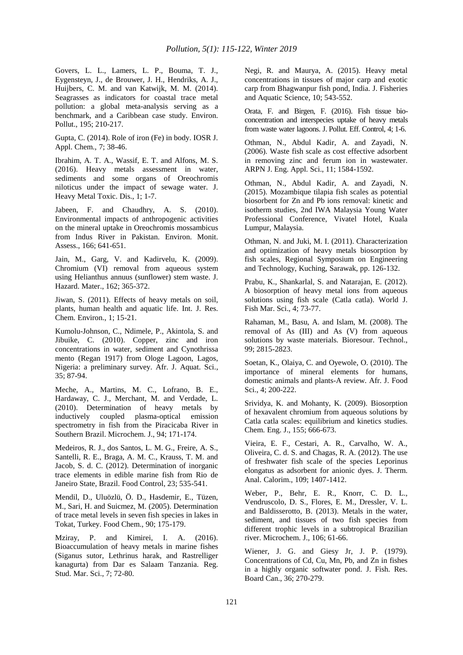Govers, L. L., Lamers, L. P., Bouma, T. J., Eygensteyn, J., de Brouwer, J. H., Hendriks, A. J., Huijbers, C. M. and van Katwijk, M. M. (2014). Seagrasses as indicators for coastal trace metal pollution: a global meta-analysis serving as a benchmark, and a Caribbean case study. Environ. Pollut., 195; 210-217.

Gupta, C. (2014). Role of iron (Fe) in body. IOSR J. Appl. Chem., 7; 38-46.

Ibrahim, A. T. A., Wassif, E. T. and Alfons, M. S. (2016). Heavy metals assessment in water, sediments and some organs of Oreochromis niloticus under the impact of sewage water. J. Heavy Metal Toxic. Dis., 1; 1-7.

Jabeen, F. and Chaudhry, A. S. (2010). Environmental impacts of anthropogenic activities on the mineral uptake in Oreochromis mossambicus from Indus River in Pakistan. Environ. Monit. Assess., 166; 641-651.

Jain, M., Garg, V. and Kadirvelu, K. (2009). Chromium (VI) removal from aqueous system using Helianthus annuus (sunflower) stem waste. J. Hazard. Mater., 162; 365-372.

Jiwan, S. (2011). Effects of heavy metals on soil, plants, human health and aquatic life. Int. J. Res. Chem. Environ., 1; 15-21.

Kumolu-Johnson, C., Ndimele, P., Akintola, S. and Jibuike, C. (2010). Copper, zinc and iron concentrations in water, sediment and Cynothrissa mento (Regan 1917) from Ologe Lagoon, Lagos, Nigeria: a preliminary survey. Afr. J. Aquat. Sci., 35; 87-94.

Meche, A., Martins, M. C., Lofrano, B. E., Hardaway, C. J., Merchant, M. and Verdade, L. (2010). Determination of heavy metals by inductively coupled plasma-optical emission spectrometry in fish from the Piracicaba River in Southern Brazil. Microchem. J., 94; 171-174.

Medeiros, R. J., dos Santos, L. M. G., Freire, A. S., Santelli, R. E., Braga, A. M. C., Krauss, T. M. and Jacob, S. d. C. (2012). Determination of inorganic trace elements in edible marine fish from Rio de Janeiro State, Brazil. Food Control, 23; 535-541.

Mendil, D., Uluözlü, Ö. D., Hasdemir, E., Tüzen, M., Sari, H. and Suicmez, M. (2005). Determination of trace metal levels in seven fish species in lakes in Tokat, Turkey. Food Chem., 90; 175-179.

Mziray, P. and Kimirei, I. A. (2016). Bioaccumulation of heavy metals in marine fishes (Siganus sutor, Lethrinus harak, and Rastrelliger kanagurta) from Dar es Salaam Tanzania. Reg. Stud. Mar. Sci., 7; 72-80.

Negi, R. and Maurya, A. (2015). Heavy metal concentrations in tissues of major carp and exotic carp from Bhagwanpur fish pond, India. J. Fisheries and Aquatic Science, 10; 543-552.

Orata, F. and Birgen, F. (2016). Fish tissue bioconcentration and interspecies uptake of heavy metals from waste water lagoons. J. Pollut. Eff. Control, 4; 1-6.

Othman, N., Abdul Kadir, A. and Zayadi, N. (2006). Waste fish scale as cost effective adsorbent in removing zinc and ferum ion in wastewater. ARPN J. Eng. Appl. Sci., 11; 1584-1592.

Othman, N., Abdul Kadir, A. and Zayadi, N. (2015). Mozambique tilapia fish scales as potential biosorbent for Zn and Pb ions removal: kinetic and isotherm studies, 2nd IWA Malaysia Young Water Professional Conference, Vivatel Hotel, Kuala Lumpur, Malaysia.

Othman, N. and Juki, M. I. (2011). Characterization and optimization of heavy metals biosorption by fish scales, Regional Symposium on Engineering and Technology, Kuching, Sarawak, pp. 126-132.

Prabu, K., Shankarlal, S. and Natarajan, E. (2012). A biosorption of heavy metal ions from aqueous solutions using fish scale (Catla catla). World J. Fish Mar. Sci., 4; 73-77.

Rahaman, M., Basu, A. and Islam, M. (2008). The removal of As (III) and As (V) from aqueous solutions by waste materials. Bioresour. Technol., 99; 2815-2823.

Soetan, K., Olaiya, C. and Oyewole, O. (2010). The importance of mineral elements for humans, domestic animals and plants-A review. Afr. J. Food Sci., 4; 200-222.

Srividya, K. and Mohanty, K. (2009). Biosorption of hexavalent chromium from aqueous solutions by Catla catla scales: equilibrium and kinetics studies. Chem. Eng. J., 155; 666-673.

Vieira, E. F., Cestari, A. R., Carvalho, W. A., Oliveira, C. d. S. and Chagas, R. A. (2012). The use of freshwater fish scale of the species Leporinus elongatus as adsorbent for anionic dyes. J. Therm. Anal. Calorim., 109; 1407-1412.

Weber, P., Behr, E. R., Knorr, C. D. L., Vendruscolo, D. S., Flores, E. M., Dressler, V. L. and Baldisserotto, B. (2013). Metals in the water, sediment, and tissues of two fish species from different trophic levels in a subtropical Brazilian river. Microchem. J., 106; 61-66.

Wiener, J. G. and Giesy Jr, J. P. (1979). Concentrations of Cd, Cu, Mn, Pb, and Zn in fishes in a highly organic softwater pond. J. Fish. Res. Board Can., 36; 270-279.